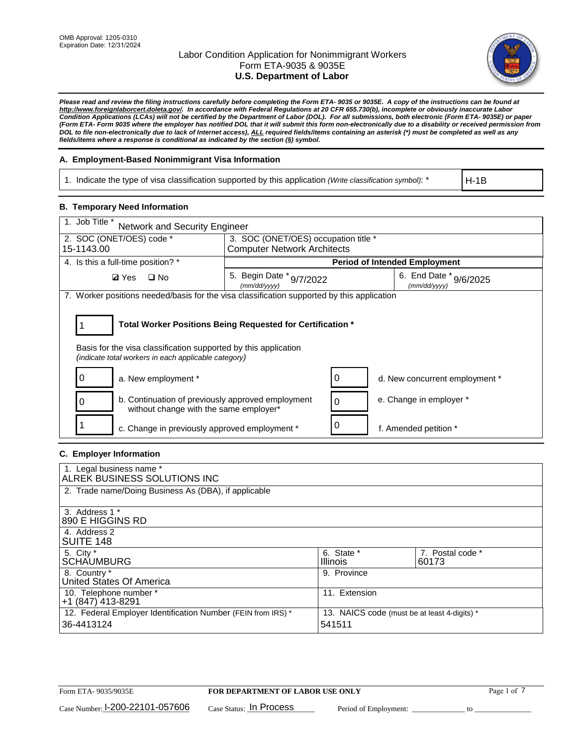

*Please read and review the filing instructions carefully before completing the Form ETA- 9035 or 9035E. A copy of the instructions can be found at [http://www.foreignlaborcert.doleta.gov/.](http://www.foreignlaborcert.doleta.gov/) In accordance with Federal Regulations at 20 CFR 655.730(b), incomplete or obviously inaccurate Labor Condition Applications (LCAs) will not be certified by the Department of Labor (DOL). For all submissions, both electronic (Form ETA- 9035E) or paper (Form ETA- Form 9035 where the employer has notified DOL that it will submit this form non-electronically due to a disability or received permission from DOL to file non-electronically due to lack of Internet access), ALL required fields/items containing an asterisk (\*) must be completed as well as any fields/items where a response is conditional as indicated by the section (§) symbol.* 

## **A. Employment-Based Nonimmigrant Visa Information**

1. Indicate the type of visa classification supported by this application *(Write classification symbol)*: \*

H-1B

## **B. Temporary Need Information**

| 1. Job Title *<br><b>Network and Security Engineer</b>                                                                                                                                |                                          |                                            |  |  |  |
|---------------------------------------------------------------------------------------------------------------------------------------------------------------------------------------|------------------------------------------|--------------------------------------------|--|--|--|
| 2. SOC (ONET/OES) code *                                                                                                                                                              | 3. SOC (ONET/OES) occupation title *     |                                            |  |  |  |
| 15-1143.00                                                                                                                                                                            | <b>Computer Network Architects</b>       |                                            |  |  |  |
| 4. Is this a full-time position? *                                                                                                                                                    |                                          | <b>Period of Intended Employment</b>       |  |  |  |
| $\square$ No<br><b>Ø</b> Yes                                                                                                                                                          | 5. Begin Date * 9/7/2022<br>(mm/dd/yyyy) | 6. End Date $*_{9/6/2025}$<br>(mm/dd/vvvv) |  |  |  |
| 7. Worker positions needed/basis for the visa classification supported by this application                                                                                            |                                          |                                            |  |  |  |
| Total Worker Positions Being Requested for Certification *<br>Basis for the visa classification supported by this application<br>(indicate total workers in each applicable category) |                                          |                                            |  |  |  |
| 0<br>a. New employment *                                                                                                                                                              |                                          | 0<br>d. New concurrent employment *        |  |  |  |
| b. Continuation of previously approved employment<br>O<br>without change with the same employer*                                                                                      |                                          | e. Change in employer *<br>0               |  |  |  |
| c. Change in previously approved employment *                                                                                                                                         |                                          | 0<br>f. Amended petition *                 |  |  |  |

## **C. Employer Information**

| 1. Legal business name *<br>ALREK BUSINESS SOLUTIONS INC                   |                                                        |                           |
|----------------------------------------------------------------------------|--------------------------------------------------------|---------------------------|
| 2. Trade name/Doing Business As (DBA), if applicable                       |                                                        |                           |
| 3. Address 1 *<br>890 E HIGGINS RD                                         |                                                        |                           |
| 4. Address 2<br>SUITE 148                                                  |                                                        |                           |
| 5. City *<br><b>SCHAUMBURG</b>                                             | 6. State *<br><b>Illinois</b>                          | 7. Postal code *<br>60173 |
| 8. Country *<br>United States Of America                                   | 9. Province                                            |                           |
| 10. Telephone number *<br>+1 (847) 413-8291                                | 11. Extension                                          |                           |
| 12. Federal Employer Identification Number (FEIN from IRS) *<br>36-4413124 | 13. NAICS code (must be at least 4-digits) *<br>541511 |                           |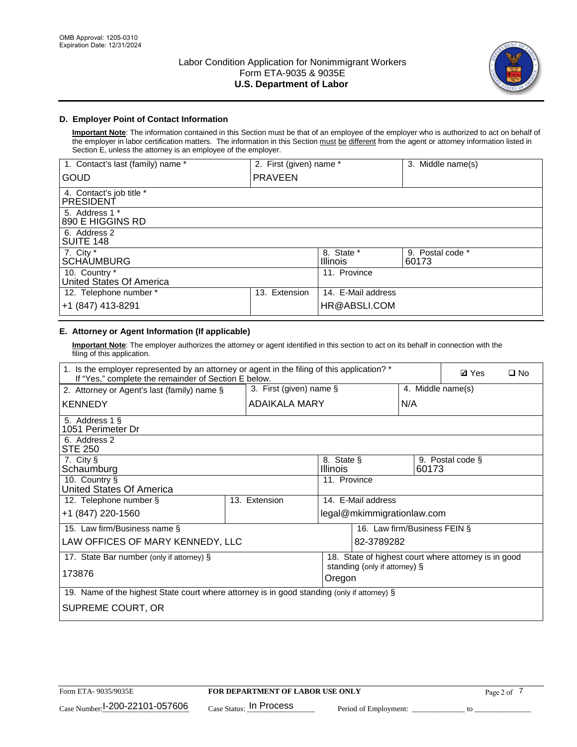

## **D. Employer Point of Contact Information**

**Important Note**: The information contained in this Section must be that of an employee of the employer who is authorized to act on behalf of the employer in labor certification matters. The information in this Section must be different from the agent or attorney information listed in Section E, unless the attorney is an employee of the employer.

| 1. Contact's last (family) name *         | 2. First (given) name * |                               | 3. Middle name(s)         |
|-------------------------------------------|-------------------------|-------------------------------|---------------------------|
| <b>GOUD</b>                               | <b>PRAVEEN</b>          |                               |                           |
| 4. Contact's job title *<br>PRESIDENT     |                         |                               |                           |
| 5. Address 1 *<br>890 E HIGGINS RD        |                         |                               |                           |
| 6. Address 2<br>SUITE 148                 |                         |                               |                           |
| 7. City $*$<br><b>SCHAUMBURG</b>          |                         | 8. State *<br><b>Illinois</b> | 9. Postal code *<br>60173 |
| 10. Country *<br>United States Of America |                         | 11. Province                  |                           |
| 12. Telephone number *                    | Extension<br>13.        | 14. E-Mail address            |                           |
| +1 (847) 413-8291                         |                         | HR@ABSLI.COM                  |                           |

# **E. Attorney or Agent Information (If applicable)**

**Important Note**: The employer authorizes the attorney or agent identified in this section to act on its behalf in connection with the filing of this application.

| 1. Is the employer represented by an attorney or agent in the filing of this application? *<br>If "Yes," complete the remainder of Section E below. |                         |                               |                                                                                       |                   | <b>Ø</b> Yes     | $\square$ No |
|-----------------------------------------------------------------------------------------------------------------------------------------------------|-------------------------|-------------------------------|---------------------------------------------------------------------------------------|-------------------|------------------|--------------|
| 2. Attorney or Agent's last (family) name §                                                                                                         | 3. First (given) name § |                               |                                                                                       | 4. Middle name(s) |                  |              |
| <b>KENNEDY</b>                                                                                                                                      | ADAIKALA MARY           |                               | N/A                                                                                   |                   |                  |              |
| 5. Address 1 §<br>1051 Perimeter Dr                                                                                                                 |                         |                               |                                                                                       |                   |                  |              |
| 6. Address 2<br><b>STE 250</b>                                                                                                                      |                         |                               |                                                                                       |                   |                  |              |
| 7. City §<br>Schaumburg                                                                                                                             |                         | 8. State §<br><b>Illinois</b> |                                                                                       | 60173             | 9. Postal code § |              |
| 10. Country §<br>United States Of America                                                                                                           |                         | 11. Province                  |                                                                                       |                   |                  |              |
| 12. Telephone number §                                                                                                                              | 13. Extension           |                               | 14. E-Mail address                                                                    |                   |                  |              |
| +1 (847) 220-1560                                                                                                                                   |                         |                               | legal@mkimmigrationlaw.com                                                            |                   |                  |              |
| 15. Law firm/Business name §                                                                                                                        |                         |                               | 16. Law firm/Business FEIN §                                                          |                   |                  |              |
| LAW OFFICES OF MARY KENNEDY, LLC                                                                                                                    |                         |                               | 82-3789282                                                                            |                   |                  |              |
| 17. State Bar number (only if attorney) §                                                                                                           |                         |                               | 18. State of highest court where attorney is in good<br>standing (only if attorney) § |                   |                  |              |
| 173876                                                                                                                                              |                         | Oregon                        |                                                                                       |                   |                  |              |
| 19. Name of the highest State court where attorney is in good standing (only if attorney) §                                                         |                         |                               |                                                                                       |                   |                  |              |
| SUPREME COURT, OR                                                                                                                                   |                         |                               |                                                                                       |                   |                  |              |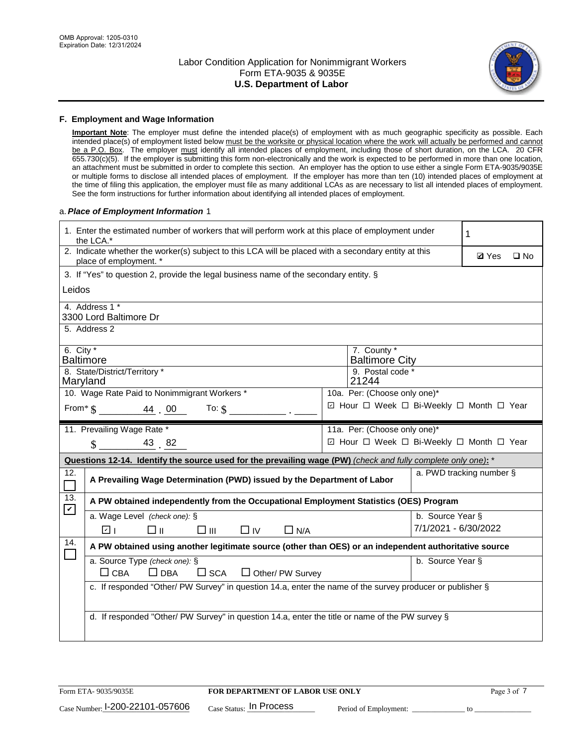

### **F. Employment and Wage Information**

**Important Note**: The employer must define the intended place(s) of employment with as much geographic specificity as possible. Each intended place(s) of employment listed below must be the worksite or physical location where the work will actually be performed and cannot be a P.O. Box. The employer must identify all intended places of employment, including those of short duration, on the LCA. 20 CFR 655.730(c)(5). If the employer is submitting this form non-electronically and the work is expected to be performed in more than one location, an attachment must be submitted in order to complete this section. An employer has the option to use either a single Form ETA-9035/9035E or multiple forms to disclose all intended places of employment. If the employer has more than ten (10) intended places of employment at the time of filing this application, the employer must file as many additional LCAs as are necessary to list all intended places of employment. See the form instructions for further information about identifying all intended places of employment.

## a.*Place of Employment Information* 1

|                                                                              | 1. Enter the estimated number of workers that will perform work at this place of employment under<br>the LCA.*                 |  | 1                                        |                          |              |              |  |  |
|------------------------------------------------------------------------------|--------------------------------------------------------------------------------------------------------------------------------|--|------------------------------------------|--------------------------|--------------|--------------|--|--|
|                                                                              | 2. Indicate whether the worker(s) subject to this LCA will be placed with a secondary entity at this<br>place of employment. * |  |                                          |                          | <b>Ø</b> Yes | $\square$ No |  |  |
|                                                                              | 3. If "Yes" to question 2, provide the legal business name of the secondary entity. §                                          |  |                                          |                          |              |              |  |  |
| Leidos                                                                       |                                                                                                                                |  |                                          |                          |              |              |  |  |
|                                                                              | 4. Address 1 *<br>3300 Lord Baltimore Dr                                                                                       |  |                                          |                          |              |              |  |  |
|                                                                              | 5. Address 2                                                                                                                   |  |                                          |                          |              |              |  |  |
|                                                                              | 6. City $*$<br>7. County *<br><b>Baltimore</b><br><b>Baltimore City</b>                                                        |  |                                          |                          |              |              |  |  |
| 8. State/District/Territory *<br>9. Postal code *<br>21244<br>Maryland       |                                                                                                                                |  |                                          |                          |              |              |  |  |
| 10. Wage Rate Paid to Nonimmigrant Workers *<br>10a. Per: (Choose only one)* |                                                                                                                                |  |                                          |                          |              |              |  |  |
|                                                                              | ☑ Hour □ Week □ Bi-Weekly □ Month □ Year<br>From* $\frac{1}{2}$ $\frac{44}{100}$ To: $\frac{1}{2}$ $\frac{1}{2}$               |  |                                          |                          |              |              |  |  |
|                                                                              | 11. Prevailing Wage Rate *                                                                                                     |  | 11a. Per: (Choose only one)*             |                          |              |              |  |  |
|                                                                              | $\$\,$ 43 82                                                                                                                   |  | ☑ Hour □ Week □ Bi-Weekly □ Month □ Year |                          |              |              |  |  |
|                                                                              | Questions 12-14. Identify the source used for the prevailing wage (PW) (check and fully complete only one): *                  |  |                                          |                          |              |              |  |  |
| 12.<br>$\Box$                                                                | A Prevailing Wage Determination (PWD) issued by the Department of Labor                                                        |  |                                          | a. PWD tracking number § |              |              |  |  |
| 13.                                                                          | A PW obtained independently from the Occupational Employment Statistics (OES) Program                                          |  |                                          |                          |              |              |  |  |
| $\mathbf v$                                                                  | a. Wage Level (check one): §                                                                                                   |  |                                          | b. Source Year §         |              |              |  |  |
|                                                                              | ☑ ।<br>□⊪<br>$\square$ $\square$<br>$\Box$ IV<br>$\Box$ N/A                                                                    |  |                                          | 7/1/2021 - 6/30/2022     |              |              |  |  |
| 14.                                                                          | A PW obtained using another legitimate source (other than OES) or an independent authoritative source                          |  |                                          |                          |              |              |  |  |
|                                                                              | a. Source Type (check one): §<br>$\Box$ CBA<br>$\Box$ DBA<br>$\square$ SCA<br>$\Box$ Other/ PW Survey                          |  |                                          | b. Source Year §         |              |              |  |  |
|                                                                              | c. If responded "Other/ PW Survey" in question 14.a, enter the name of the survey producer or publisher §                      |  |                                          |                          |              |              |  |  |
|                                                                              | d. If responded "Other/ PW Survey" in question 14.a, enter the title or name of the PW survey §                                |  |                                          |                          |              |              |  |  |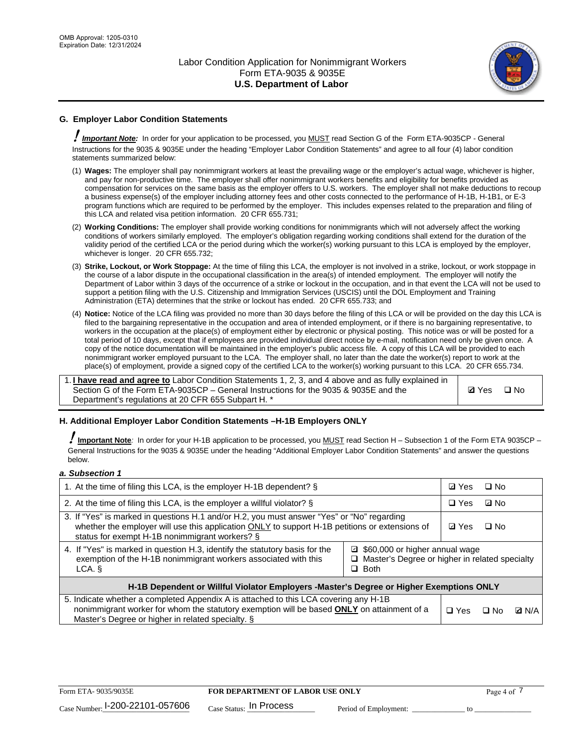

# **G. Employer Labor Condition Statements**

! *Important Note:* In order for your application to be processed, you MUST read Section G of the Form ETA-9035CP - General Instructions for the 9035 & 9035E under the heading "Employer Labor Condition Statements" and agree to all four (4) labor condition statements summarized below:

- (1) **Wages:** The employer shall pay nonimmigrant workers at least the prevailing wage or the employer's actual wage, whichever is higher, and pay for non-productive time. The employer shall offer nonimmigrant workers benefits and eligibility for benefits provided as compensation for services on the same basis as the employer offers to U.S. workers. The employer shall not make deductions to recoup a business expense(s) of the employer including attorney fees and other costs connected to the performance of H-1B, H-1B1, or E-3 program functions which are required to be performed by the employer. This includes expenses related to the preparation and filing of this LCA and related visa petition information. 20 CFR 655.731;
- (2) **Working Conditions:** The employer shall provide working conditions for nonimmigrants which will not adversely affect the working conditions of workers similarly employed. The employer's obligation regarding working conditions shall extend for the duration of the validity period of the certified LCA or the period during which the worker(s) working pursuant to this LCA is employed by the employer, whichever is longer. 20 CFR 655.732;
- (3) **Strike, Lockout, or Work Stoppage:** At the time of filing this LCA, the employer is not involved in a strike, lockout, or work stoppage in the course of a labor dispute in the occupational classification in the area(s) of intended employment. The employer will notify the Department of Labor within 3 days of the occurrence of a strike or lockout in the occupation, and in that event the LCA will not be used to support a petition filing with the U.S. Citizenship and Immigration Services (USCIS) until the DOL Employment and Training Administration (ETA) determines that the strike or lockout has ended. 20 CFR 655.733; and
- (4) **Notice:** Notice of the LCA filing was provided no more than 30 days before the filing of this LCA or will be provided on the day this LCA is filed to the bargaining representative in the occupation and area of intended employment, or if there is no bargaining representative, to workers in the occupation at the place(s) of employment either by electronic or physical posting. This notice was or will be posted for a total period of 10 days, except that if employees are provided individual direct notice by e-mail, notification need only be given once. A copy of the notice documentation will be maintained in the employer's public access file. A copy of this LCA will be provided to each nonimmigrant worker employed pursuant to the LCA. The employer shall, no later than the date the worker(s) report to work at the place(s) of employment, provide a signed copy of the certified LCA to the worker(s) working pursuant to this LCA. 20 CFR 655.734.

1. **I have read and agree to** Labor Condition Statements 1, 2, 3, and 4 above and as fully explained in Section G of the Form ETA-9035CP – General Instructions for the 9035 & 9035E and the Department's regulations at 20 CFR 655 Subpart H. \*

**Ø**Yes ロNo

## **H. Additional Employer Labor Condition Statements –H-1B Employers ONLY**

!**Important Note***:* In order for your H-1B application to be processed, you MUST read Section H – Subsection 1 of the Form ETA 9035CP – General Instructions for the 9035 & 9035E under the heading "Additional Employer Labor Condition Statements" and answer the questions below.

#### *a. Subsection 1*

| 1. At the time of filing this LCA, is the employer H-1B dependent? §                                                                                                                                                                                            | ⊡ Yes | □ No |           |              |
|-----------------------------------------------------------------------------------------------------------------------------------------------------------------------------------------------------------------------------------------------------------------|-------|------|-----------|--------------|
| 2. At the time of filing this LCA, is the employer a willful violator? $\S$                                                                                                                                                                                     |       |      | ⊡ No      |              |
| 3. If "Yes" is marked in questions H.1 and/or H.2, you must answer "Yes" or "No" regarding<br>whether the employer will use this application ONLY to support H-1B petitions or extensions of<br>status for exempt H-1B nonimmigrant workers? §                  |       |      | $\Box$ No |              |
| 4. If "Yes" is marked in question H.3, identify the statutory basis for the<br>■ \$60,000 or higher annual wage<br>exemption of the H-1B nonimmigrant workers associated with this<br>□ Master's Degree or higher in related specialty<br>$\Box$ Both<br>LCA. § |       |      |           |              |
| H-1B Dependent or Willful Violator Employers -Master's Degree or Higher Exemptions ONLY                                                                                                                                                                         |       |      |           |              |
| 5. Indicate whether a completed Appendix A is attached to this LCA covering any H-1B<br>nonimmigrant worker for whom the statutory exemption will be based <b>ONLY</b> on attainment of a<br>Master's Degree or higher in related specialty. §                  |       |      | ⊡ No      | <b>Q</b> N/A |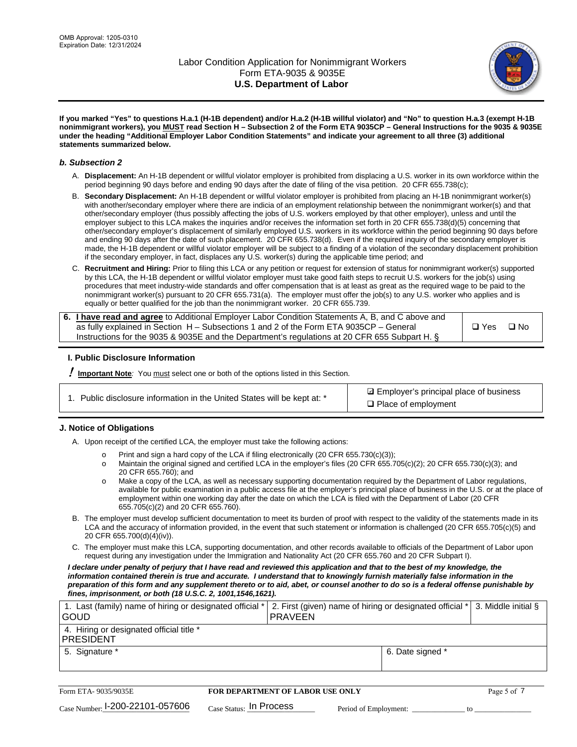

**If you marked "Yes" to questions H.a.1 (H-1B dependent) and/or H.a.2 (H-1B willful violator) and "No" to question H.a.3 (exempt H-1B nonimmigrant workers), you MUST read Section H – Subsection 2 of the Form ETA 9035CP – General Instructions for the 9035 & 9035E under the heading "Additional Employer Labor Condition Statements" and indicate your agreement to all three (3) additional statements summarized below.**

### *b. Subsection 2*

- A. **Displacement:** An H-1B dependent or willful violator employer is prohibited from displacing a U.S. worker in its own workforce within the period beginning 90 days before and ending 90 days after the date of filing of the visa petition. 20 CFR 655.738(c);
- B. **Secondary Displacement:** An H-1B dependent or willful violator employer is prohibited from placing an H-1B nonimmigrant worker(s) with another/secondary employer where there are indicia of an employment relationship between the nonimmigrant worker(s) and that other/secondary employer (thus possibly affecting the jobs of U.S. workers employed by that other employer), unless and until the employer subject to this LCA makes the inquiries and/or receives the information set forth in 20 CFR 655.738(d)(5) concerning that other/secondary employer's displacement of similarly employed U.S. workers in its workforce within the period beginning 90 days before and ending 90 days after the date of such placement. 20 CFR 655.738(d). Even if the required inquiry of the secondary employer is made, the H-1B dependent or willful violator employer will be subject to a finding of a violation of the secondary displacement prohibition if the secondary employer, in fact, displaces any U.S. worker(s) during the applicable time period; and
- C. **Recruitment and Hiring:** Prior to filing this LCA or any petition or request for extension of status for nonimmigrant worker(s) supported by this LCA, the H-1B dependent or willful violator employer must take good faith steps to recruit U.S. workers for the job(s) using procedures that meet industry-wide standards and offer compensation that is at least as great as the required wage to be paid to the nonimmigrant worker(s) pursuant to 20 CFR 655.731(a). The employer must offer the job(s) to any U.S. worker who applies and is equally or better qualified for the job than the nonimmigrant worker. 20 CFR 655.739.

| 6. I have read and agree to Additional Employer Labor Condition Statements A, B, and C above and |       |           |
|--------------------------------------------------------------------------------------------------|-------|-----------|
| as fully explained in Section H – Subsections 1 and 2 of the Form ETA 9035CP – General           | □ Yes | $\Box$ No |
| Instructions for the 9035 & 9035E and the Department's regulations at 20 CFR 655 Subpart H. §    |       |           |

## **I. Public Disclosure Information**

! **Important Note***:* You must select one or both of the options listed in this Section.

| 1. Public disclosure information in the United States will be kept at: * |  |  |  |  |  |  |  |
|--------------------------------------------------------------------------|--|--|--|--|--|--|--|
|--------------------------------------------------------------------------|--|--|--|--|--|--|--|

**sqrt** Employer's principal place of business □ Place of employment

## **J. Notice of Obligations**

A. Upon receipt of the certified LCA, the employer must take the following actions:

- o Print and sign a hard copy of the LCA if filing electronically (20 CFR 655.730(c)(3));<br>
Maintain the original signed and certified LCA in the employer's files (20 CFR 655.7
- Maintain the original signed and certified LCA in the employer's files (20 CFR 655.705(c)(2); 20 CFR 655.730(c)(3); and 20 CFR 655.760); and
- o Make a copy of the LCA, as well as necessary supporting documentation required by the Department of Labor regulations, available for public examination in a public access file at the employer's principal place of business in the U.S. or at the place of employment within one working day after the date on which the LCA is filed with the Department of Labor (20 CFR 655.705(c)(2) and 20 CFR 655.760).
- B. The employer must develop sufficient documentation to meet its burden of proof with respect to the validity of the statements made in its LCA and the accuracy of information provided, in the event that such statement or information is challenged (20 CFR 655.705(c)(5) and 20 CFR 655.700(d)(4)(iv)).
- C. The employer must make this LCA, supporting documentation, and other records available to officials of the Department of Labor upon request during any investigation under the Immigration and Nationality Act (20 CFR 655.760 and 20 CFR Subpart I).

*I declare under penalty of perjury that I have read and reviewed this application and that to the best of my knowledge, the*  information contained therein is true and accurate. I understand that to knowingly furnish materially false information in the *preparation of this form and any supplement thereto or to aid, abet, or counsel another to do so is a federal offense punishable by fines, imprisonment, or both (18 U.S.C. 2, 1001,1546,1621).*

| 1. Last (family) name of hiring or designated official *<br>l GOUD |                         | <b>PRAVEEN</b>                          | 2. First (given) name of hiring or designated official * | 3. Middle initial § |
|--------------------------------------------------------------------|-------------------------|-----------------------------------------|----------------------------------------------------------|---------------------|
| 4. Hiring or designated official title *<br> PRESIDENT             |                         |                                         |                                                          |                     |
| 5. Signature *                                                     |                         |                                         | 6. Date signed *                                         |                     |
|                                                                    |                         |                                         |                                                          |                     |
| Form ETA- 9035/9035E                                               |                         | <b>FOR DEPARTMENT OF LABOR USE ONLY</b> |                                                          | Page 5 of 7         |
| Case Number: 1-200-22101-057606                                    | Case Status: In Process |                                         | Period of Employment:                                    | tΩ                  |

| Form ETA-9035/9035E                         | FOR DEPARTMENT OF LABOR USE ONLY   |                       |  |
|---------------------------------------------|------------------------------------|-----------------------|--|
| $_{\text{Case Number:}}$ I-200-22101-057606 | $_{\rm Case~S status:}$ In Process | Period of Employment: |  |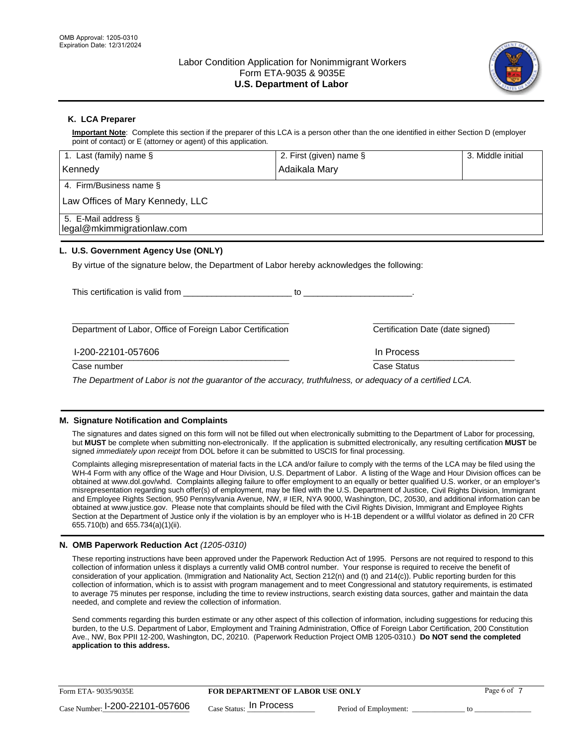

## **K. LCA Preparer**

**Important Note**: Complete this section if the preparer of this LCA is a person other than the one identified in either Section D (employer point of contact) or E (attorney or agent) of this application.

| 1. Last (family) name $\S$                                                                   | 2. First (given) name § |                                  | 3. Middle initial |
|----------------------------------------------------------------------------------------------|-------------------------|----------------------------------|-------------------|
| Kennedy                                                                                      | Adaikala Mary           |                                  |                   |
| 4. Firm/Business name §                                                                      |                         |                                  |                   |
| Law Offices of Mary Kennedy, LLC                                                             |                         |                                  |                   |
| 5. E-Mail address §<br>legal@mkimmigrationlaw.com                                            |                         |                                  |                   |
| L. U.S. Government Agency Use (ONLY)                                                         |                         |                                  |                   |
| By virtue of the signature below, the Department of Labor hereby acknowledges the following: |                         |                                  |                   |
| This certification is valid from This certification                                          |                         |                                  |                   |
| Department of Labor, Office of Foreign Labor Certification                                   |                         | Certification Date (date signed) |                   |
| I-200-22101-057606                                                                           |                         | In Process                       |                   |
| Case number                                                                                  |                         | Case Status                      |                   |
|                                                                                              |                         |                                  |                   |

*The Department of Labor is not the guarantor of the accuracy, truthfulness, or adequacy of a certified LCA.*

## **M. Signature Notification and Complaints**

The signatures and dates signed on this form will not be filled out when electronically submitting to the Department of Labor for processing, but **MUST** be complete when submitting non-electronically. If the application is submitted electronically, any resulting certification **MUST** be signed *immediately upon receipt* from DOL before it can be submitted to USCIS for final processing.

Complaints alleging misrepresentation of material facts in the LCA and/or failure to comply with the terms of the LCA may be filed using the WH-4 Form with any office of the Wage and Hour Division, U.S. Department of Labor. A listing of the Wage and Hour Division offices can be obtained at www.dol.gov/whd. Complaints alleging failure to offer employment to an equally or better qualified U.S. worker, or an employer's misrepresentation regarding such offer(s) of employment, may be filed with the U.S. Department of Justice, Civil Rights Division, Immigrant and Employee Rights Section, 950 Pennsylvania Avenue, NW, # IER, NYA 9000, Washington, DC, 20530, and additional information can be obtained at www.justice.gov. Please note that complaints should be filed with the Civil Rights Division, Immigrant and Employee Rights Section at the Department of Justice only if the violation is by an employer who is H-1B dependent or a willful violator as defined in 20 CFR 655.710(b) and 655.734(a)(1)(ii).

## **N. OMB Paperwork Reduction Act** *(1205-0310)*

These reporting instructions have been approved under the Paperwork Reduction Act of 1995. Persons are not required to respond to this collection of information unless it displays a currently valid OMB control number. Your response is required to receive the benefit of consideration of your application. (Immigration and Nationality Act, Section 212(n) and (t) and 214(c)). Public reporting burden for this collection of information, which is to assist with program management and to meet Congressional and statutory requirements, is estimated to average 75 minutes per response, including the time to review instructions, search existing data sources, gather and maintain the data needed, and complete and review the collection of information.

Send comments regarding this burden estimate or any other aspect of this collection of information, including suggestions for reducing this burden, to the U.S. Department of Labor, Employment and Training Administration, Office of Foreign Labor Certification, 200 Constitution Ave., NW, Box PPII 12-200, Washington, DC, 20210. (Paperwork Reduction Project OMB 1205-0310.) **Do NOT send the completed application to this address.**

| Form ETA-9035/9035E                         | <b>FOR DEPARTMENT OF LABOR USE ONLY</b> |                       | Page 6 of |
|---------------------------------------------|-----------------------------------------|-----------------------|-----------|
| $_{\text{Case Number:}}$ I-200-22101-057606 | $_{\text{Case Status:}}$ In Process     | Period of Employment: |           |